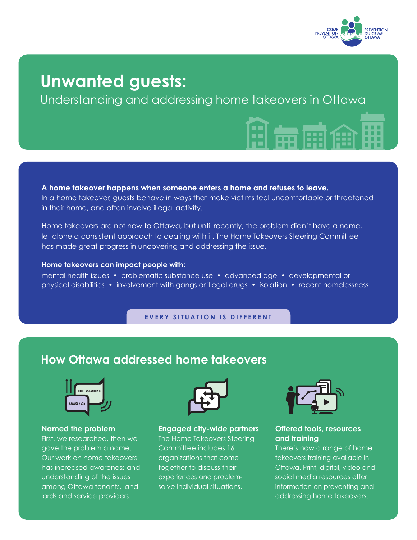

# **Unwanted guests:**

Understanding and addressing home takeovers in Ottawa

**A home takeover happens when someone enters a home and refuses to leave.**  In a home takeover, guests behave in ways that make victims feel uncomfortable or threatened in their home, and often involve illegal activity.

Home takeovers are not new to Ottawa, but until recently, the problem didn't have a name, let alone a consistent approach to dealing with it. The Home Takeovers Steering Committee has made great progress in uncovering and addressing the issue.

### **Home takeovers can impact people with:**

mental health issues • problematic substance use • advanced age • developmental or physical disabilities • involvement with gangs or illegal drugs • isolation • recent homelessness

**EVERY SITUATION IS DIFFERENT**

### **How Ottawa addressed home takeovers**



### **Named the problem**

First, we researched, then we gave the problem a name. Our work on home takeovers has increased awareness and understanding of the issues among Ottawa tenants, landlords and service providers.



**Engaged city-wide partners** The Home Takeovers Steering Committee includes 16 organizations that come together to discuss their experiences and problemsolve individual situations.



### **Offered tools, resources and training**

There's now a range of home takeovers training available in Ottawa. Print, digital, video and social media resources offer information on preventing and addressing home takeovers.